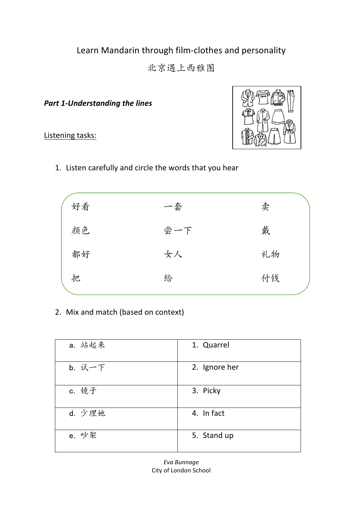# Learn Mandarin through film-clothes and personality

北京遇上西雅图

**Part 1-Understanding the lines** 

Listening tasks:



1. Listen carefully and circle the words that you hear

| 好看 | 一套  | 卖  |
|----|-----|----|
| 颜色 | 尝一下 | 戴  |
| 都好 | 女人  | 礼物 |
| 把  | 给   | 付钱 |
|    |     |    |

2. Mix and match (based on context)

| a. 站起来 | 1. Quarrel    |
|--------|---------------|
| b. 试一下 | 2. Ignore her |
| c. 镜子  | 3. Picky      |
| d. 少理她 | 4. In fact    |
| e. 吵架  | 5. Stand up   |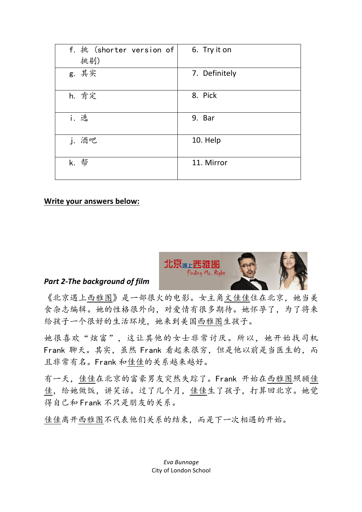| f. 挑 (shorter version of $\vert$ | 6. Try it on  |
|----------------------------------|---------------|
| 挑剔)                              |               |
| g. 其实                            | 7. Definitely |
|                                  |               |
| h. 肯定                            | 8. Pick       |
|                                  |               |
| i. 选                             | 9. Bar        |
| j. 酒吧                            | 10. Help      |
| k. 帮                             | 11. Mirror    |

### **Write your answers below:**



### **Part 2-The background of film**

《北京遇上西雅图》是一部很火的电影。女主角文佳佳住在北京,她当美 食杂志编辑。她的性格很外向,对爱情有很多期待。她怀孕了,为了将来 给孩子一个很好的生活环境,她来到美国西雅图生孩子。

她很喜欢"炫富",这让其他的女士非常讨厌。所以,她开始找司机 Frank 聊天。其实,虽然 Frank 看起来很穷,但是他以前是当医生的,而 且非常有名。Frank 和佳佳的关系越来越好。

有一天,佳佳在北京的富豪男友突然失踪了。Frank 开始在西雅图照顾佳 佳,给她做饭,讲笑话。过了几个月,佳佳生了孩子,打算回北京。她觉 得自己和 Frank 不只是朋友的关系。

佳佳离开西雅图不代表他们关系的结束,而是下一次相遇的开始。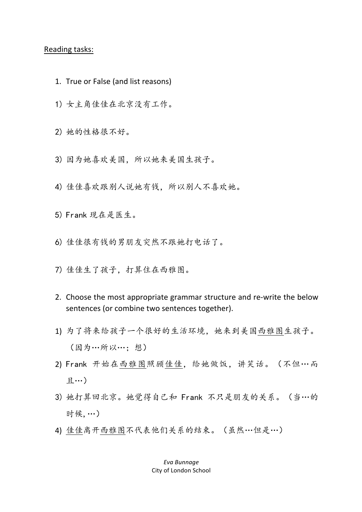### Reading tasks:

- 1. True or False (and list reasons)
- 1) 女主角佳佳在北京没有工作。
- 2) 她的性格很不好。
- 3) 因为她喜欢美国,所以她来美国生孩子。
- 4) 佳佳喜欢跟别人说她有钱,所以别人不喜欢她。
- 5) Frank 现在是医生。
- 6) 佳佳很有钱的男朋友突然不跟她打电话了。
- 7) 佳佳生了孩子,打算住在西雅图。
- 2. Choose the most appropriate grammar structure and re-write the below sentences (or combine two sentences together).
- 1) 为了将来给孩子一个很好的生活环境,她来到美国西雅图生孩子。 (因为…所以…;想)
- 2) Frank 开始在西雅图照顾佳佳, 给她做饭, 讲笑话。(不但…而 且…)
- 3) 她打算回北京。她觉得自己和 Frank 不只是朋友的关系。(当…的 时候,…)
- 4) 佳佳离开西雅图不代表他们关系的结束。(虽然…但是…)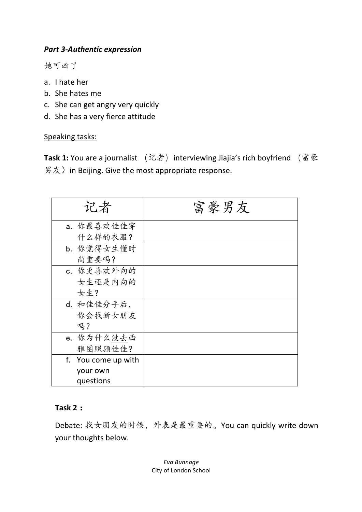# **Part 3-Authentic expression**

她可凶了

- a. I hate her
- b. She hates me
- c. She can get angry very quickly
- d. She has a very fierce attitude

Speaking tasks:

Task 1: You are a journalist (记者) interviewing Jiajia's rich boyfriend (富豪 男友) in Beijing. Give the most appropriate response.

| 记者                  | 富豪男友 |
|---------------------|------|
| a. 你最喜欢佳佳穿          |      |
| 什么样的衣服?             |      |
| b. 你觉得女生懂时          |      |
| 尚重要吗?               |      |
| c. 你更喜欢外向的          |      |
| 女生还是内向的             |      |
| 女生?                 |      |
| d. 和佳佳分手后,          |      |
| 你会找新女朋友             |      |
| 吗?                  |      |
| e. 你为什么没去西          |      |
| 雅图照顾佳佳?             |      |
| f. You come up with |      |
| your own            |      |
| questions           |      |

## **Task 2:**

Debate: 找女朋友的时候, 外表是最重要的。You can quickly write down your thoughts below.